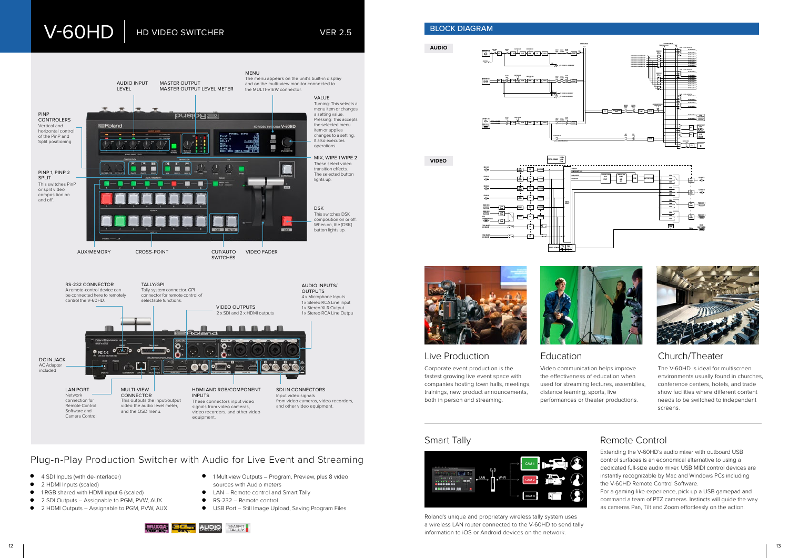Corporate event production is the fastest growing live event space with companies hosting town halls, meetings, trainings, new product announcements, both in person and streaming.

Video communication helps improve the effectiveness of education when used for streaming lectures, assemblies, distance learning, sports, live performances or theater productions.







The V-60HD is ideal for multiscreen environments usually found in churches, conference centers, hotels, and trade show facilities where different content needs to be switched to independent screens.

# Smart Tally **Smart Tally Remote Control**

# Live Production Education Church/Theater

# Plug-n-Play Production Switcher with Audio for Live Event and Streaming

- 4 SDI Inputs (with de-interlacer)
- 2 HDMI Inputs (scaled)
- 1 RGB shared with HDMI input 6 (scaled)
- 2 SDI Outputs Assignable to PGM, PVW, AUX
- 2 HDMI Outputs Assignable to PGM, PVW, AUX
- 1 Multiview Outputs Program, Preview, plus 8 video sources with Audio meters
- LAN Remote control and Smart Tally
- RS-232 Remote control
- USB Port Still Image Upload, Saving Program Files





**VIDEO**







Roland's unique and proprietary wireless tally system uses a wireless LAN router connected to the V-60HD to send tally information to iOS or Android devices on the network.

- Extending the V-60HD's audio mixer with outboard USB control surfaces is an economical alternative to using a dedicated full-size audio mixer. USB MIDI control devices are instantly recognizable by Mac and Windows PCs including the V-60HD Remote Control Software.
- For a gaming-like experience, pick up a USB gamepad and command a team of PTZ cameras. Instincts will guide the way as cameras Pan, Tilt and Zoom effortlessly on the action.

# V-60HD | HD VIDEO SWITCHER

VER 2.5